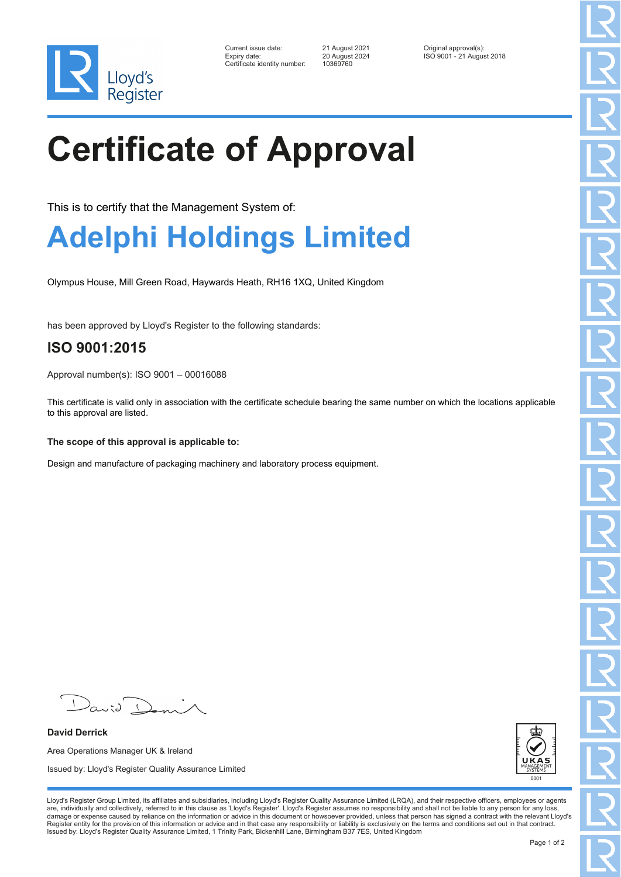

| Current issue date:         |
|-----------------------------|
| Expiry date:                |
| Certificate identitv number |

Certificate identity number: 10369760

Current issue date: 21 August 2021 Original approval(s): Expiry date: 20 August 2024 ISO 9001 - 21 August 2018

## **Certificate of Approval**

This is to certify that the Management System of:

## **Adelphi Holdings Limited**

Olympus House, Mill Green Road, Haywards Heath, RH16 1XQ, United Kingdom

has been approved by Lloyd's Register to the following standards:

## **ISO 9001:2015**

Approval number(s): ISO 9001 – 00016088

This certificate is valid only in association with the certificate schedule bearing the same number on which the locations applicable to this approval are listed.

**The scope of this approval is applicable to:**

Design and manufacture of packaging machinery and laboratory process equipment.

 $\sqrt{2}$  $a_{\alpha}$ io

**David Derrick** Area Operations Manager UK & Ireland Issued by: Lloyd's Register Quality Assurance Limited



Lloyd's Register Group Limited, its affiliates and subsidiaries, including Lloyd's Register Quality Assurance Limited (LRQA), and their respective officers, employees or agents are, individually and collectively, referred to in this clause as 'Lloyd's Register'. Lloyd's Register assumes no responsibility and shall not be liable to any person for any loss,<br>damage or expense caused by reliance on t Register entity for the provision of this information or advice and in that case any responsibility or liability is exclusively on the terms and conditions set out in that contract. Issued by: Lloyd's Register Quality Assurance Limited, 1 Trinity Park, Bickenhill Lane, Birmingham B37 7ES, United Kingdom